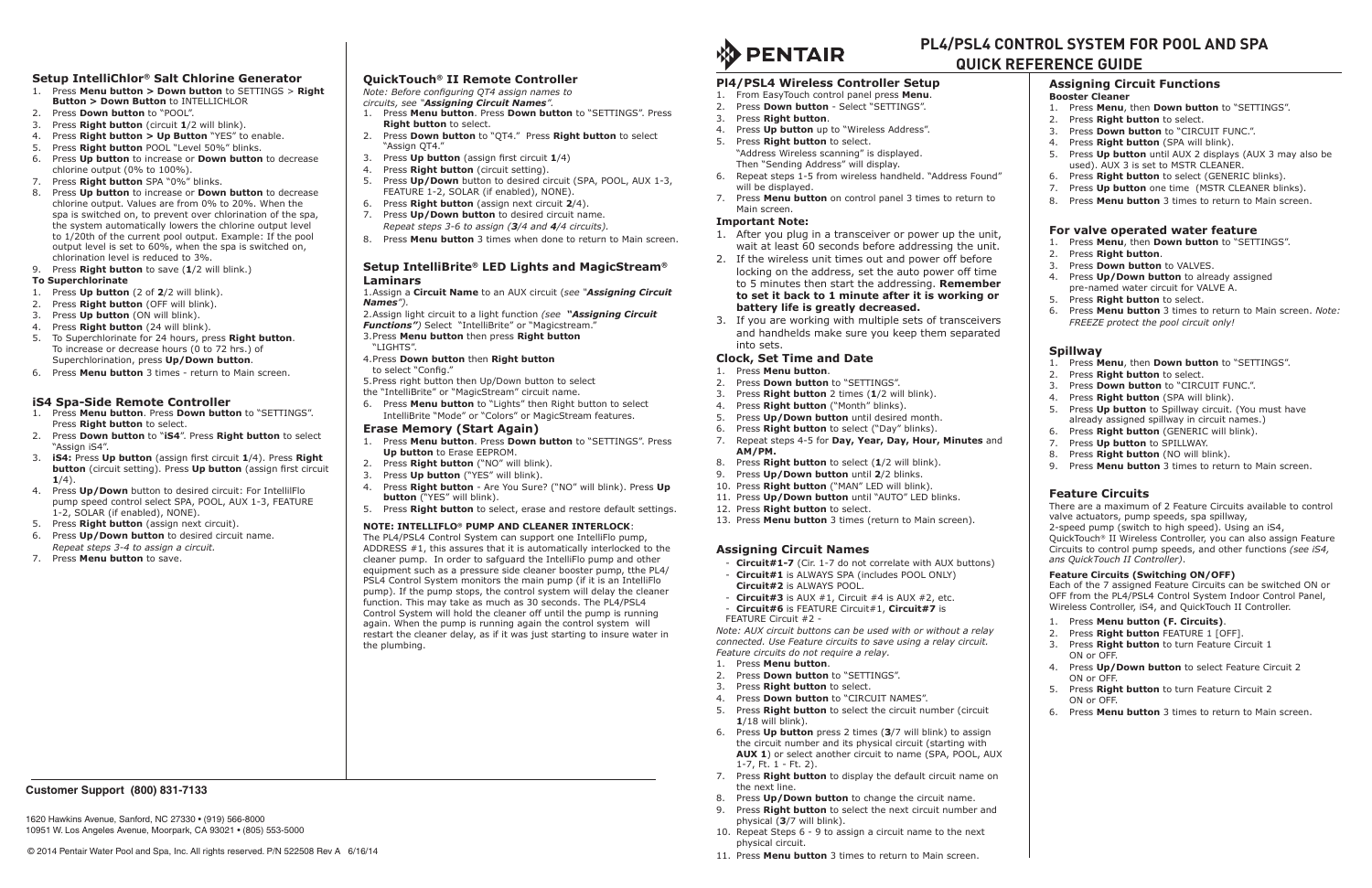# **Pl4/PSL4 Wireless Controller Setup**

- 1. From EasyTouch control panel press **Menu**.
- 2. Press **Down button** Select "SETTINGS".
- 3. Press **Right button**.
- 4. Press **Up button** up to "Wireless Address".
- 5. Press **Right button** to select. "Address Wireless scanning" is displayed. Then "Sending Address" will display.
- 6. Repeat steps 1-5 from wireless handheld. "Address Found" will be displayed.
- 7. Press **Menu button** on control panel 3 times to return to Main screen.

# **Important Note:**

- 1. After you plug in a transceiver or power up the unit, wait at least 60 seconds before addressing the unit.
- 2. If the wireless unit times out and power off before locking on the address, set the auto power off time to 5 minutes then start the addressing. **Remember to set it back to 1 minute after it is working or battery life is greatly decreased.**
- 3. If you are working with multiple sets of transceivers and handhelds make sure you keep them separated into sets.

# **Clock, Set Time and Date**

- 1. Press **Menu button**.
- 2. Press **Down button** to "SETTINGS".
- 3. Press **Right button** 2 times (**1**/2 will blink).
- 4. Press **Right button** ("Month" blinks).
- 5. Press **Up/Down button** until desired month.
- 6. Press **Right button** to select ("Day" blinks).
- 7. Repeat steps 4-5 for **Day, Year, Day, Hour, Minutes** and **AM/PM.**
- 8. Press **Right button** to select (**1**/2 will blink).
- 9. Press **Up/Down button** until **2**/2 blinks.
- 10. Press **Right button** ("MAN" LED will blink). 11. Press **Up/Down button** until "AUTO" LED blinks.
- 12. Press **Right button** to select.
- 
- 13. Press **Menu button** 3 times (return to Main screen).

# **Assigning Circuit Names**

- **Circuit#1-7** (Cir. 1-7 do not correlate with AUX buttons)
- **Circuit#1** is ALWAYS SPA (includes POOL ONLY)
- **Circuit#2** is always Pool.
- **Circuit#3** is AUX #1, Circuit #4 is AUX #2, etc.
- **Circuit#6** is FEATURE Circuit#1, **Circuit#7** is FEATURE Circuit #2 -

*Note: AUX circuit buttons can be used with or without a relay connected. Use Feature circuits to save using a relay circuit. Feature circuits do not require a relay.*

- 1. Press **Menu button**.
- 2. Press **Down button** to "SETTINGS".
- 3. Press **Right button** to select.
- 4. Press **Down button** to "CIRCUIT NAMES".
- 5. Press **Right button** to select the circuit number (circuit **1**/18 will blink).
- 6. Press **Up button** press 2 times (**3**/7 will blink) to assign the circuit number and its physical circuit (starting with **AUX 1**) or select another circuit to name (SPA, POOL, AUX 1-7, Ft. 1 - Ft. 2).
- 7. Press **Right button** to display the default circuit name on the next line.
- 8. Press **Up/Down button** to change the circuit name.
- 9. Press **Right button** to select the next circuit number and physical (**3**/7 will blink).
- 10. Repeat Steps 6 9 to assign a circuit name to the next physical circuit.
- 11. Press **Menu button** 3 times to return to Main screen.

### **Assigning Circuit Functions**

#### **Booster Cleaner**

- 1. Press **Menu**, then **Down button** to "SETTINGS".
- 2. Press **Right button** to select.
- 3. Press **Down button** to "CIRCUIT FUNC.".
- 4. Press **Right button** (SPA will blink).
- 5. Press **Up button** until AUX 2 displays (AUX 3 may also be used). AUX 3 is set to MSTR CLEANER.
- 6. Press **Right button** to select (GENERIC blinks).
- 7. Press **Up button** one time (MSTR CLEANER blinks).
- 8. Press **Menu button** 3 times to return to Main screen.

#### **For valve operated water feature**

- 1. Press **Menu**, then **Down button** to "SETTINGS".
- 2. Press **Right button**.
- 3. Press **Down button** to VALVES.
- 4. Press **Up/Down button** to already assigned pre-named water circuit for VALVE A.
- 5. Press **Right button** to select.
- 6. Press **Menu button** 3 times to return to Main screen. *Note: FREEZE protect the pool circuit only!*

#### **Spillway**

- 1. Press **Menu**, then **Down button** to "SETTINGS".
- 2. Press **Right button** to select.
- 3. Press **Down button** to "CIRCUIT FUNC.".
- 4. Press **Right button** (SPA will blink).
- 5. Press **Up button** to Spillway circuit. (You must have already assigned spillway in circuit names.)
- 6. Press **Right button** (GENERIC will blink).
- 7. Press **Up button** to SPILLWAY.
- 8. Press **Right button** (NO will blink).
- 9. Press **Menu button** 3 times to return to Main screen.

## **Feature Circuits**

There are a maximum of 2 Feature Circuits available to control valve actuators, pump speeds, spa spillway,

2-speed pump (switch to high speed). Using an iS4,

QuickTouch® II Wireless Controller, you can also assign Feature Circuits to control pump speeds, and other functions *(see iS4, ans QuickTouch II Controller)*.

#### **Feature Circuits (Switching ON/OFF)**

Each of the 7 assigned Feature Circuits can be switched ON or OFF from the PL4/PSL4 Control System Indoor Control Panel, Wireless Controller, iS4, and QuickTouch II Controller.

- 1. Press **Menu button (F. Circuits)**.
- 2. Press **Right button** FEATURE 1 [OFF].
- 3. Press **Right button** to turn Feature Circuit 1 ON or OFF.
- 4. Press **Up/Down button** to select Feature Circuit 2 ON or OFF.
- 5. Press **Right button** to turn Feature Circuit 2 ON or OFF.
- 6. Press **Menu button** 3 times to return to Main screen.



# **Setup IntelliChlor® Salt Chlorine Generator**

- 1. Press **Menu button > Down button** to SETTINGS > **Right Button > Down Button** to INTELLICHLOR
- 2. Press **Down button** to "POOL".
- 3. Press **Right button** (circuit **1**/2 will blink).
- 4. Press **Right button > Up Button** "YES" to enable.
- 5. Press **Right button** POOL "Level 50%" blinks.
- 6. Press **Up button** to increase or **Down button** to decrease chlorine output (0% to 100%).
- 7. Press **Right button** SPA "0%" blinks.
- 8. Press **Up button** to increase or **Down button** to decrease chlorine output. Values are from 0% to 20%. When the spa is switched on, to prevent over chlorination of the spa, the system automatically lowers the chlorine output level to 1/20th of the current pool output. Example: If the pool output level is set to 60%, when the spa is switched on, chlorination level is reduced to 3%.
- 9. Press **Right button** to save (**1**/2 will blink.)

## **To Superchlorinate**

- 1. Press **Up button** (2 of **2**/2 will blink).
- 2. Press **Right button** (OFF will blink).
- 3. Press **Up button** (ON will blink).
- 4. Press **Right button** (24 will blink).
- 5. To Superchlorinate for 24 hours, press **Right button**. To increase or decrease hours (0 to 72 hrs.) of Superchlorination, press **Up/Down button**.
- 6. Press **Menu button** 3 times return to Main screen.

# **iS4 Spa-Side Remote Controller**

- 1. Press **Menu button**. Press **Down button** to "SETTINGS". Press **Right button** to select.
- 2. Press **Down button** to "**iS4**". Press **Right button** to select "Assign iS4".
- 3. **iS4:** Press **Up button** (assign first circuit **1**/4). Press **Right button** (circuit setting). Press **Up button** (assign first circuit **1**/4).
- 4. Press **Up/Down** button to desired circuit: For IntellilFlo pump speed control select SPA, POOL, AUX 1-3, FEATURE 1-2, SOLAR (if enabled), NONE).
- 5. Press **Right button** (assign next circuit).
- 6. Press **Up/Down button** to desired circuit name. *Repeat steps 3-4 to assign a circuit.*
- 7. Press **Menu button** to save.

# **QuickTouch® II Remote Controller**

*Note: Before configuring QT4 assign names to circuits, see "Assigning Circuit Names".*

- 1. Press **Menu button**. Press **Down button** to "SETTINGS". Press **Right button** to select.
- 2. Press **Down button** to "QT4." Press **Right button** to select "Assign QT4."
- 3. Press **Up button** (assign first circuit **1**/4)
- 4. Press **Right button** (circuit setting).
- 5. Press **Up/Down** button to desired circuit (SPA, POOL, AUX 1-3, FEATURE 1-2, SOLAR (if enabled), NONE).
- 6. Press **Right button** (assign next circuit **2**/4).
- 7. Press **Up/Down button** to desired circuit name. *Repeat steps 3-6 to assign (3/4 and 4/4 circuits).*
- 8. Press **Menu button** 3 times when done to return to Main screen.

## **Setup IntelliBrite® LED Lights and MagicStream® Laminars**

#### 1.Assign a **Circuit Name** to an AUX circuit (*see "Assigning Circuit Names").*

2.Assign light circuit to a light function *(see "Assigning Circuit Functions")* Select "IntelliBrite" or "Magicstream."

- 3.Press **Menu button** then press **Right button**
- "LIGHTS".
- 4.Press **Down button** then **Right button** to select "Config."
- 5.Press right button then Up/Down button to select
- the "IntelliBrite" or "MagicStream" circuit name.
- 6. Press **Menu button** to "Lights" then Right button to select IntelliBrite "Mode" or "Colors" or MagicStream features.

## **Erase Memory (Start Again)**

- 1. Press **Menu button**. Press **Down button** to "SETTINGS". Press **Up button** to Erase EEPROM.
- 2. Press **Right button** ("NO" will blink).
- 3. Press **Up button** ("YES" will blink).
- 4. Press **Right button** Are You Sure? ("NO" will blink). Press **Up button** ("YES" will blink).
- 5. Press **Right button** to select, erase and restore default settings.

## **NOTE: INTELLIFLO® PUMP AND CLEANER INTERLOCK**:

The PL4/PSL4 Control System can support one IntelliFlo pump, ADDRESS #1, this assures that it is automatically interlocked to the cleaner pump. In order to safguard the IntelliFlo pump and other equipment such as a pressure side cleaner booster pump, tthe PL4/ PSL4 Control System monitors the main pump (if it is an IntelliFlo pump). If the pump stops, the control system will delay the cleaner function. This may take as much as 30 seconds. The PL4/PSL4 Control System will hold the cleaner off until the pump is running again. When the pump is running again the control system will restart the cleaner delay, as if it was just starting to insure water in the plumbing.

# **PL4/PSL4 CONTROL SYSTEM FOR POOL AND SPA QUICK REFERENCE GUIDE**

© 2014 Pentair Water Pool and Spa, Inc. All rights reserved. P/N 522508 Rev A 6/16/14

# **Customer Support (800) 831-7133**

1620 Hawkins Avenue, Sanford, NC 27330 • (919) 566-8000 10951 W. Los Angeles Avenue, Moorpark, CA 93021 • (805) 553-5000